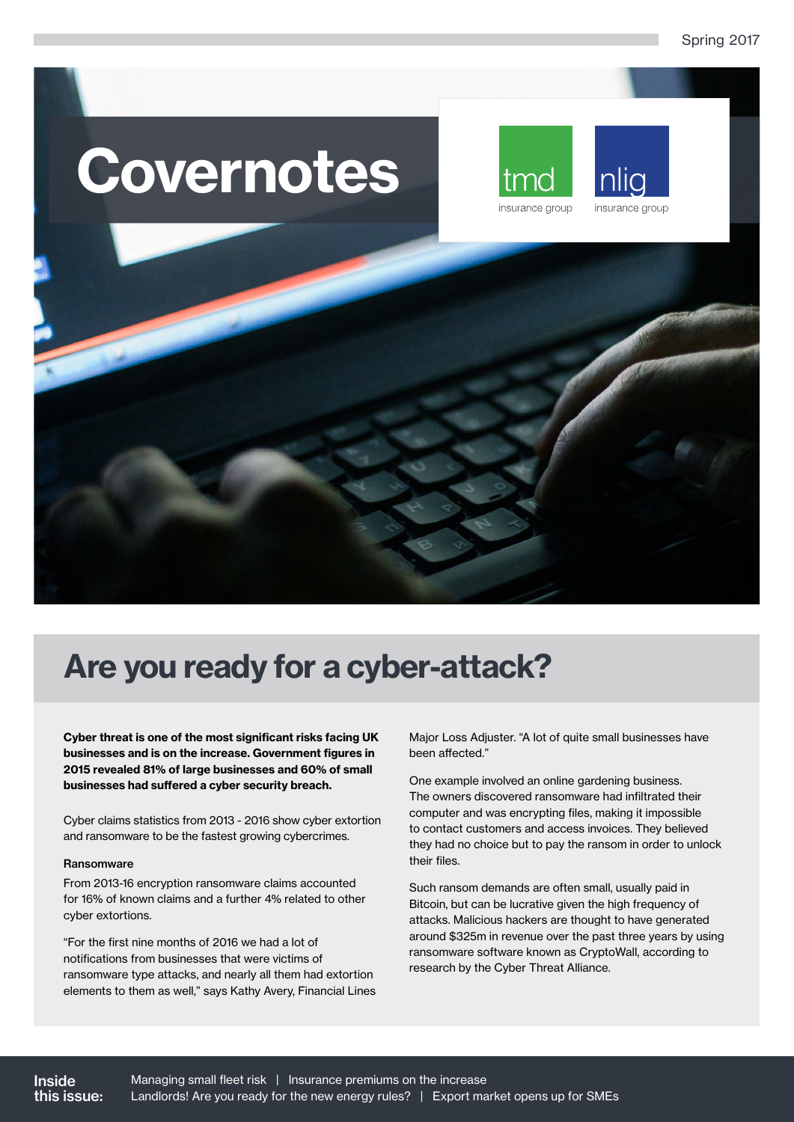# Covernotes





# Are you ready for a cyber-attack?

Cyber threat is one of the most significant risks facing UK businesses and is on the increase. Government figures in 2015 revealed 81% of large businesses and 60% of small businesses had suffered a cyber security breach.

Cyber claims statistics from 2013 - 2016 show cyber extortion and ransomware to be the fastest growing cybercrimes.

### Ransomware

From 2013-16 encryption ransomware claims accounted for 16% of known claims and a further 4% related to other cyber extortions.

"For the first nine months of 2016 we had a lot of notifications from businesses that were victims of ransomware type attacks, and nearly all them had extortion elements to them as well," says Kathy Avery, Financial Lines

Major Loss Adjuster. "A lot of quite small businesses have been affected."

One example involved an online gardening business. The owners discovered ransomware had infiltrated their computer and was encrypting files, making it impossible to contact customers and access invoices. They believed they had no choice but to pay the ransom in order to unlock their files.

Such ransom demands are often small, usually paid in Bitcoin, but can be lucrative given the high frequency of attacks. Malicious hackers are thought to have generated around \$325m in revenue over the past three years by using ransomware software known as CryptoWall, according to research by the Cyber Threat Alliance.

Inside this issue: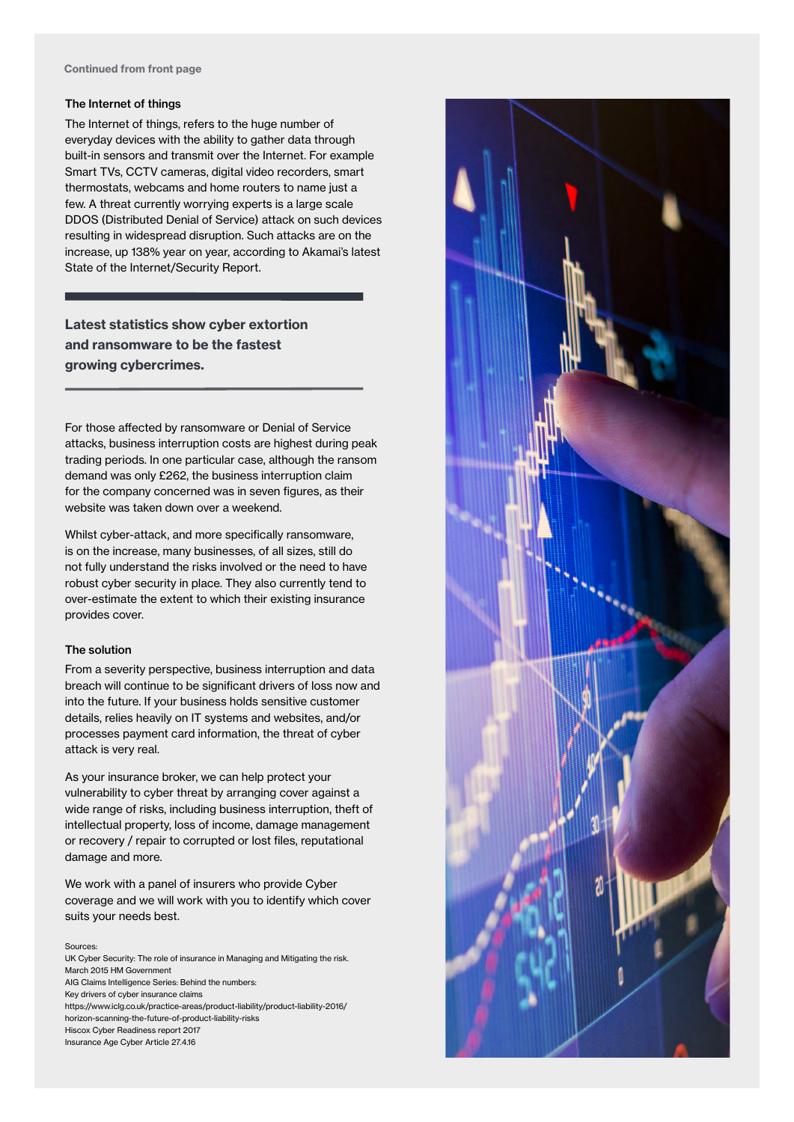### The Internet of things

The Internet of things, refers to the huge number of everyday devices with the ability to gather data through built-in sensors and transmit over the Internet. For example Smart TVs, CCTV cameras, digital video recorders, smart thermostats, webcams and home routers to name just a few. A threat currently worrying experts is a large scale DDOS (Distributed Denial of Service) attack on such devices resulting in widespread disruption. Such attacks are on the increase, up 138% year on year, according to Akamai's latest State of the Internet/Security Report.

### Latest statistics show cyber extortion and ransomware to be the fastest growing cybercrimes.

For those affected by ransomware or Denial of Service attacks, business interruption costs are highest during peak trading periods. In one particular case, although the ransom demand was only £262, the business interruption claim for the company concerned was in seven figures, as their website was taken down over a weekend.

Whilst cyber-attack, and more specifically ransomware, is on the increase, many businesses, of all sizes, still do not fully understand the risks involved or the need to have robust cyber security in place. They also currently tend to over-estimate the extent to which their existing insurance provides cover.

### The solution

From a severity perspective, business interruption and data breach will continue to be significant drivers of loss now and into the future. If your business holds sensitive customer details, relies heavily on IT systems and websites, and/or processes payment card information, the threat of cyber attack is very real.

As your insurance broker, we can help protect your vulnerability to cyber threat by arranging cover against a wide range of risks, including business interruption, theft of intellectual property, loss of income, damage management or recovery / repair to corrupted or lost files, reputational damage and more.

We work with a panel of insurers who provide Cyber coverage and we will work with you to identify which cover suits your needs best.

### Sources:

UK Cyber Security: The role of insurance in Managing and Mitigating the risk. March 2015 HM Government AIG Claims Intelligence Series: Behind the numbers: Key drivers of cyber insurance claims https://www.iclg.co.uk/practice-areas/product-liability/product-liability-2016/ horizon-scanning-the-future-of-product-liability-risks Hiscox Cyber Readiness report 2017 Insurance Age Cyber Article 27.4.16

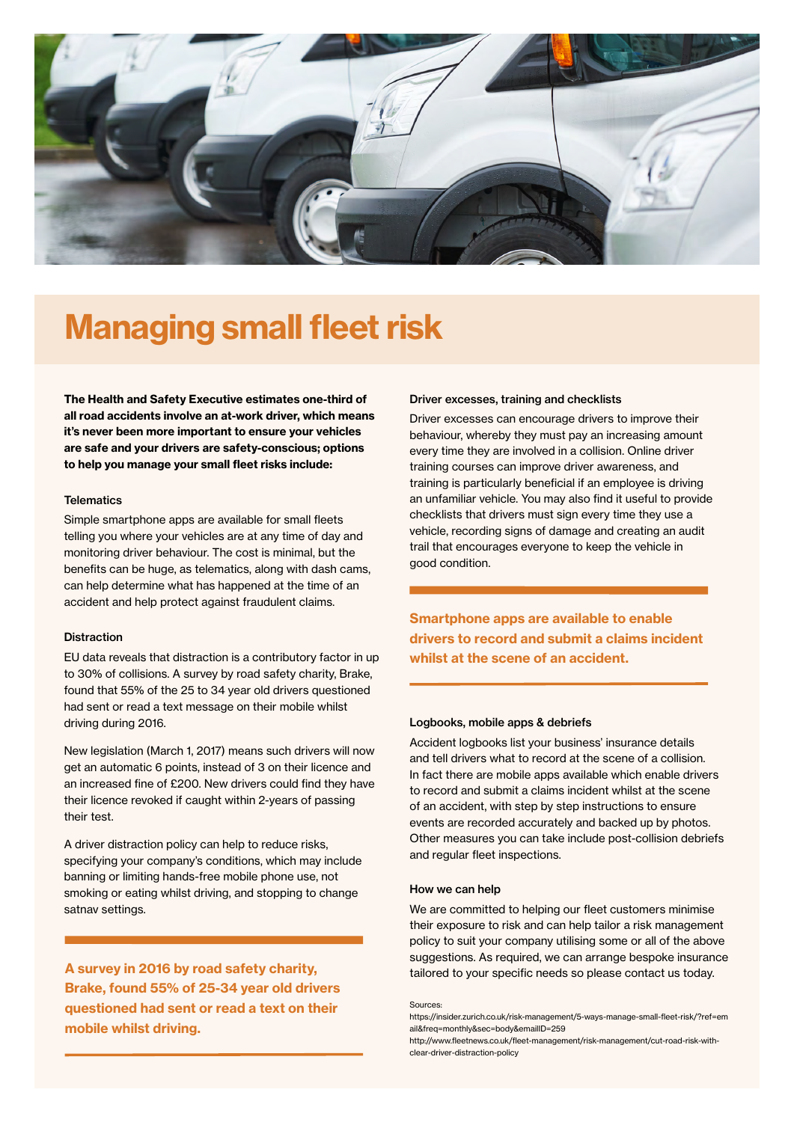

# Managing small fleet risk

The Health and Safety Executive estimates one-third of all road accidents involve an at-work driver, which means it's never been more important to ensure your vehicles are safe and your drivers are safety-conscious; options to help you manage your small fleet risks include:

### **Telematics**

Simple smartphone apps are available for small fleets telling you where your vehicles are at any time of day and monitoring driver behaviour. The cost is minimal, but the benefits can be huge, as telematics, along with dash cams, can help determine what has happened at the time of an accident and help protect against fraudulent claims.

### **Distraction**

EU data reveals that distraction is a contributory factor in up to 30% of collisions. A survey by road safety charity, Brake, found that 55% of the 25 to 34 year old drivers questioned had sent or read a text message on their mobile whilst driving during 2016.

New legislation (March 1, 2017) means such drivers will now get an automatic 6 points, instead of 3 on their licence and an increased fine of £200. New drivers could find they have their licence revoked if caught within 2-years of passing their test.

A driver distraction policy can help to reduce risks, specifying your company's conditions, which may include banning or limiting hands-free mobile phone use, not smoking or eating whilst driving, and stopping to change satnav settings.

A survey in 2016 by road safety charity, Brake, found 55% of 25-34 year old drivers questioned had sent or read a text on their mobile whilst driving.

### Driver excesses, training and checklists

Driver excesses can encourage drivers to improve their behaviour, whereby they must pay an increasing amount every time they are involved in a collision. Online driver training courses can improve driver awareness, and training is particularly beneficial if an employee is driving an unfamiliar vehicle. You may also find it useful to provide checklists that drivers must sign every time they use a vehicle, recording signs of damage and creating an audit trail that encourages everyone to keep the vehicle in good condition.

Smartphone apps are available to enable drivers to record and submit a claims incident whilst at the scene of an accident.

### Logbooks, mobile apps & debriefs

Accident logbooks list your business' insurance details and tell drivers what to record at the scene of a collision. In fact there are mobile apps available which enable drivers to record and submit a claims incident whilst at the scene of an accident, with step by step instructions to ensure events are recorded accurately and backed up by photos. Other measures you can take include post-collision debriefs and regular fleet inspections.

### How we can help

We are committed to helping our fleet customers minimise their exposure to risk and can help tailor a risk management policy to suit your company utilising some or all of the above suggestions. As required, we can arrange bespoke insurance tailored to your specific needs so please contact us today.

#### Sources:

https://insider.zurich.co.uk/risk-management/5-ways-manage-small-fleet-risk/?ref=em ail&freq=monthly&sec=body&emailID=259

http://www.fleetnews.co.uk/fleet-management/risk-management/cut-road-risk-withclear-driver-distraction-policy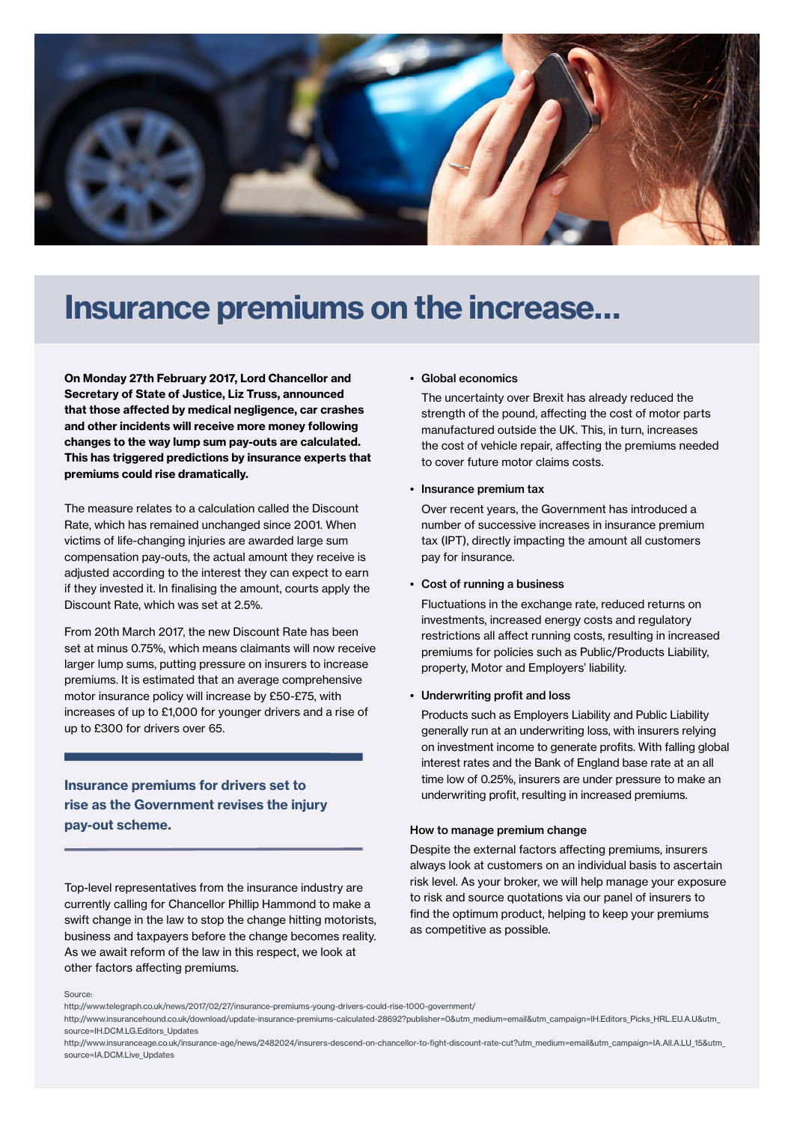

## Insurance premiums on the increase…

On Monday 27th February 2017, Lord Chancellor and Secretary of State of Justice, Liz Truss, announced that those affected by medical negligence, car crashes and other incidents will receive more money following changes to the way lump sum pay-outs are calculated. This has triggered predictions by insurance experts that premiums could rise dramatically.

The measure relates to a calculation called the Discount Rate, which has remained unchanged since 2001. When victims of life-changing injuries are awarded large sum compensation pay-outs, the actual amount they receive is adjusted according to the interest they can expect to earn if they invested it. In finalising the amount, courts apply the Discount Rate, which was set at 2.5%.

From 20th March 2017, the new Discount Rate has been set at minus 0.75%, which means claimants will now receive larger lump sums, putting pressure on insurers to increase premiums. It is estimated that an average comprehensive motor insurance policy will increase by £50-£75, with increases of up to £1,000 for younger drivers and a rise of up to £300 for drivers over 65.

### Insurance premiums for drivers set to rise as the Government revises the injury pay-out scheme.

Top-level representatives from the insurance industry are currently calling for Chancellor Phillip Hammond to make a swift change in the law to stop the change hitting motorists, business and taxpayers before the change becomes reality. As we await reform of the law in this respect, we look at other factors affecting premiums.

### • Global economics

 The uncertainty over Brexit has already reduced the strength of the pound, affecting the cost of motor parts manufactured outside the UK. This, in turn, increases the cost of vehicle repair, affecting the premiums needed to cover future motor claims costs.

### • Insurance premium tax

 Over recent years, the Government has introduced a number of successive increases in insurance premium tax (IPT), directly impacting the amount all customers pay for insurance.

### • Cost of running a business

 Fluctuations in the exchange rate, reduced returns on investments, increased energy costs and regulatory restrictions all affect running costs, resulting in increased premiums for policies such as Public/Products Liability, property, Motor and Employers' liability.

### • Underwriting profit and loss

 Products such as Employers Liability and Public Liability generally run at an underwriting loss, with insurers relying on investment income to generate profits. With falling global interest rates and the Bank of England base rate at an all time low of 0.25%, insurers are under pressure to make an underwriting profit, resulting in increased premiums.

#### How to manage premium change

Despite the external factors affecting premiums, insurers always look at customers on an individual basis to ascertain risk level. As your broker, we will help manage your exposure to risk and source quotations via our panel of insurers to find the optimum product, helping to keep your premiums as competitive as possible.

#### Source:

http://www.telegraph.co.uk/news/2017/02/27/insurance-premiums-young-drivers-could-rise-1000-government/

http://www.insurancehound.co.uk/download/update-insurance-premiums-calculated-28692?publisher=0&utm\_medium=email&utm\_campaign=IH.Editors\_Picks\_HRL.EU.A.U&utm\_ source=IH.DCM.LG.Editors\_Updates

http://www.insuranceage.co.uk/insurance-age/news/2482024/insurers-descend-on-chancellor-to-fight-discount-rate-cut?utm\_medium=email&utm\_campaign=IA.All.A.LU\_15&utm\_ source=IA.DCM.Live\_Updates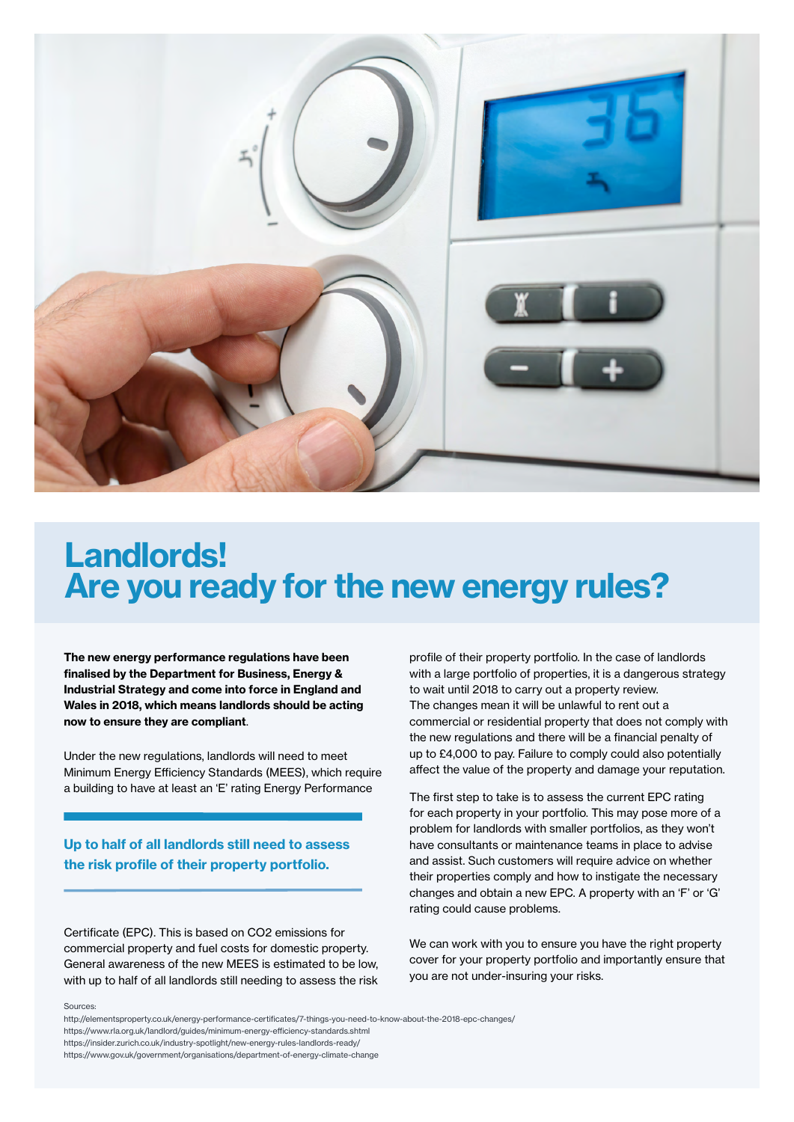

## Landlords! Are you ready for the new energy rules?

The new energy performance regulations have been finalised by the Department for Business, Energy & Industrial Strategy and come into force in England and Wales in 2018, which means landlords should be acting now to ensure they are compliant.

Under the new regulations, landlords will need to meet Minimum Energy Efficiency Standards (MEES), which require a building to have at least an 'E' rating Energy Performance

### Up to half of all landlords still need to assess the risk profile of their property portfolio.

Certificate (EPC). This is based on CO2 emissions for commercial property and fuel costs for domestic property. General awareness of the new MEES is estimated to be low, with up to half of all landlords still needing to assess the risk profile of their property portfolio. In the case of landlords with a large portfolio of properties, it is a dangerous strategy to wait until 2018 to carry out a property review. The changes mean it will be unlawful to rent out a commercial or residential property that does not comply with the new regulations and there will be a financial penalty of up to £4,000 to pay. Failure to comply could also potentially affect the value of the property and damage your reputation.

The first step to take is to assess the current EPC rating for each property in your portfolio. This may pose more of a problem for landlords with smaller portfolios, as they won't have consultants or maintenance teams in place to advise and assist. Such customers will require advice on whether their properties comply and how to instigate the necessary changes and obtain a new EPC. A property with an 'F' or 'G' rating could cause problems.

We can work with you to ensure you have the right property cover for your property portfolio and importantly ensure that you are not under-insuring your risks.

#### Sources:

http://elementsproperty.co.uk/energy-performance-certificates/7-things-you-need-to-know-about-the-2018-epc-changes/

https://insider.zurich.co.uk/industry-spotlight/new-energy-rules-landlords-ready/

https://www.gov.uk/government/organisations/department-of-energy-climate-change

https://www.rla.org.uk/landlord/guides/minimum-energy-efficiency-standards.shtml